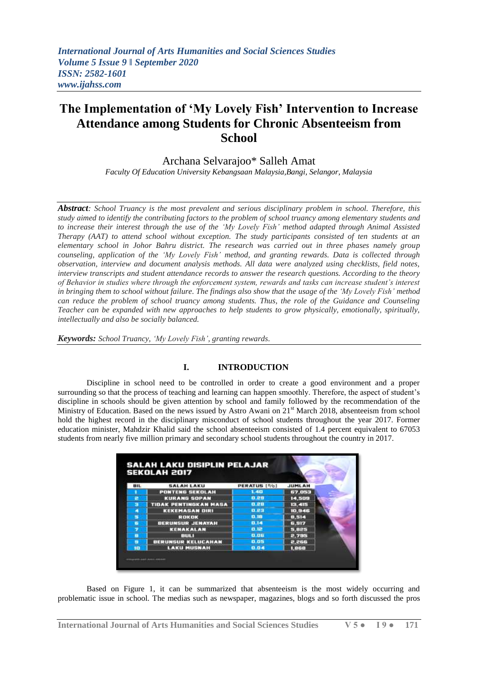# **The Implementation of 'My Lovely Fish' Intervention to Increase Attendance among Students for Chronic Absenteeism from School**

Archana Selvarajoo\* Salleh Amat

*Faculty Of Education University Kebangsaan Malaysia,Bangi, Selangor, Malaysia*

*Abstract: School Truancy is the most prevalent and serious disciplinary problem in school. Therefore, this study aimed to identify the contributing factors to the problem of school truancy among elementary students and to increase their interest through the use of the 'My Lovely Fish' method adapted through Animal Assisted Therapy (AAT) to attend school without exception. The study participants consisted of ten students at an elementary school in Johor Bahru district. The research was carried out in three phases namely group counseling, application of the 'My Lovely Fish' method, and granting rewards. Data is collected through observation, interview and document analysis methods. All data were analyzed using checklists, field notes, interview transcripts and student attendance records to answer the research questions. According to the theory of Behavior in studies where through the enforcement system, rewards and tasks can increase student's interest in bringing them to school without failure. The findings also show that the usage of the 'My Lovely Fish' method can reduce the problem of school truancy among students. Thus, the role of the Guidance and Counseling Teacher can be expanded with new approaches to help students to grow physically, emotionally, spiritually, intellectually and also be socially balanced.*

*Keywords: School Truancy, 'My Lovely Fish', granting rewards.*

## **I. INTRODUCTION**

Discipline in school need to be controlled in order to create a good environment and a proper surrounding so that the process of teaching and learning can happen smoothly. Therefore, the aspect of student's discipline in schools should be given attention by school and family followed by the recommendation of the Ministry of Education. Based on the news issued by Astro Awani on 21<sup>st</sup> March 2018, absenteeism from school hold the highest record in the disciplinary misconduct of school students throughout the year 2017. Former education minister, Mahdzir Khalid said the school absenteeism consisted of 1.4 percent equivalent to 67053 students from nearly five million primary and secondary school students throughout the country in 2017.

|            | <b>SEKOLAH 2017</b>          |             |               |  |
|------------|------------------------------|-------------|---------------|--|
| <b>BIL</b> | <b>SALAH LAKU</b>            | PERATUS [%] | <b>JUMLAH</b> |  |
|            | <b>PONTENS SEKOLAH</b>       | 1.40        | 67,053        |  |
| e          | <b>KURANG SOPAN</b>          | 0.89        | 14,509        |  |
| э          | <b>TIDAK PENTINGKAN MASA</b> | 0.88        | 13. HS        |  |
|            | <b>KEKEMASAN DIRI</b>        | 0.23        | 10.946        |  |
| 5          | <b>ROKOK</b>                 | 0.18        | <b>B.514</b>  |  |
| Б          | <b>BERUNSUR JENAYAH</b>      | 0.14        | 6.917         |  |
|            | KENAKALAN                    | 0.12        | 5,825         |  |
|            | muu                          | 0.06        | 2,735         |  |
| ø          | <b>BERUNSUR KELUCAHAN</b>    | 0.05        | 2.266         |  |
| m          | <b>LAKU MUSNAH</b>           | 0.04        | 1,868         |  |

Based on Figure 1, it can be summarized that absenteeism is the most widely occurring and problematic issue in school. The medias such as newspaper, magazines, blogs and so forth discussed the pros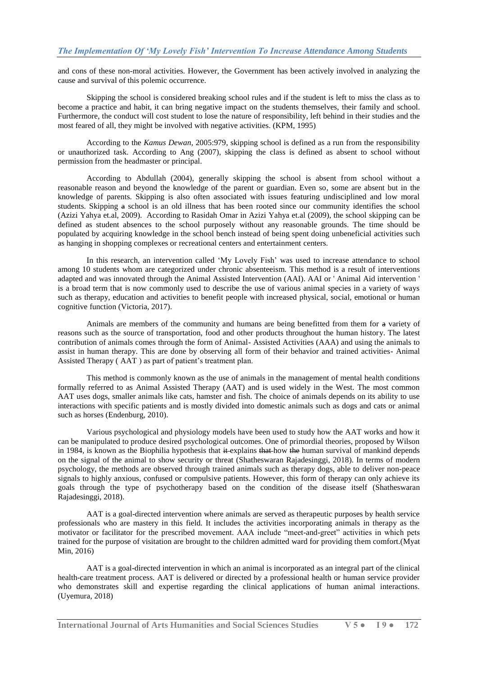and cons of these non-moral activities. However, the Government has been actively involved in analyzing the cause and survival of this polemic occurrence.

Skipping the school is considered breaking school rules and if the student is left to miss the class as to become a practice and habit, it can bring negative impact on the students themselves, their family and school. Furthermore, the conduct will cost student to lose the nature of responsibility, left behind in their studies and the most feared of all, they might be involved with negative activities. (KPM, 1995)

According to the *Kamus Dewan*, 2005:979, skipping school is defined as a run from the responsibility or unauthorized task. According to Ang (2007), skipping the class is defined as absent to school without permission from the headmaster or principal.

According to Abdullah (2004), generally skipping the school is absent from school without a reasonable reason and beyond the knowledge of the parent or guardian. Even so, some are absent but in the knowledge of parents. Skipping is also often associated with issues featuring undisciplined and low moral students. Skipping a school is an old illness that has been rooted since our community identifies the school (Azizi Yahya et.al, 2009). According to Rasidah Omar in Azizi Yahya et.al (2009), the school skipping can be defined as student absences to the school purposely without any reasonable grounds. The time should be populated by acquiring knowledge in the school bench instead of being spent doing unbeneficial activities such as hanging in shopping complexes or recreational centers and entertainment centers.

In this research, an intervention called "My Lovely Fish" was used to increase attendance to school among 10 students whom are categorized under chronic absenteeism. This method is a result of interventions adapted and was innovated through the Animal Assisted Intervention (AAI). AAI or ' Animal Aid intervention ' is a broad term that is now commonly used to describe the use of various animal species in a variety of ways such as therapy, education and activities to benefit people with increased physical, social, emotional or human cognitive function (Victoria, 2017).

Animals are members of the community and humans are being benefitted from them for a variety of reasons such as the source of transportation, food and other products throughout the human history. The latest contribution of animals comes through the form of Animal- Assisted Activities (AAA) and using the animals to assist in human therapy. This are done by observing all form of their behavior and trained activities- Animal Assisted Therapy (AAT) as part of patient's treatment plan.

This method is commonly known as the use of animals in the management of mental health conditions formally referred to as Animal Assisted Therapy (AAT) and is used widely in the West. The most common AAT uses dogs, smaller animals like cats, hamster and fish. The choice of animals depends on its ability to use interactions with specific patients and is mostly divided into domestic animals such as dogs and cats or animal such as horses (Endenburg, 2010).

Various psychological and physiology models have been used to study how the AAT works and how it can be manipulated to produce desired psychological outcomes. One of primordial theories, proposed by Wilson in 1984, is known as the Biophilia hypothesis that  $\ddot{\textbf{t}}$  explains that how the human survival of mankind depends on the signal of the animal to show security or threat (Shatheswaran Rajadesinggi, 2018). In terms of modern psychology, the methods are observed through trained animals such as therapy dogs, able to deliver non-peace signals to highly anxious, confused or compulsive patients. However, this form of therapy can only achieve its goals through the type of psychotherapy based on the condition of the disease itself (Shatheswaran Rajadesinggi, 2018).

AAT is a goal-directed intervention where animals are served as therapeutic purposes by health service professionals who are mastery in this field. It includes the activities incorporating animals in therapy as the motivator or facilitator for the prescribed movement. AAA include "meet-and-greet" activities in which pets trained for the purpose of visitation are brought to the children admitted ward for providing them comfort.(Myat Min, 2016)

AAT is a goal-directed intervention in which an animal is incorporated as an integral part of the clinical health-care treatment process. AAT is delivered or directed by a professional health or human service provider who demonstrates skill and expertise regarding the clinical applications of human animal interactions. (Uyemura, 2018)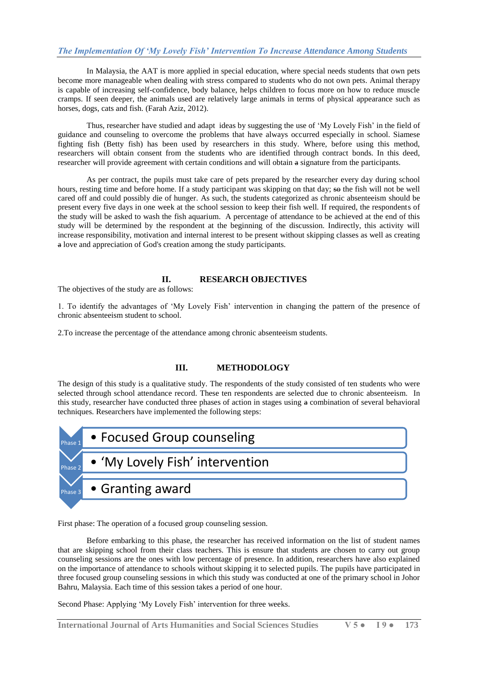In Malaysia, the AAT is more applied in special education, where special needs students that own pets become more manageable when dealing with stress compared to students who do not own pets. Animal therapy is capable of increasing self-confidence, body balance, helps children to focus more on how to reduce muscle cramps. If seen deeper, the animals used are relatively large animals in terms of physical appearance such as horses, dogs, cats and fish. (Farah Aziz, 2012).

Thus, researcher have studied and adapt ideas by suggesting the use of "My Lovely Fish" in the field of guidance and counseling to overcome the problems that have always occurred especially in school. Siamese fighting fish (Betty fish) has been used by researchers in this study. Where, before using this method, researchers will obtain consent from the students who are identified through contract bonds. In this deed, researcher will provide agreement with certain conditions and will obtain a signature from the participants.

As per contract, the pupils must take care of pets prepared by the researcher every day during school hours, resting time and before home. If a study participant was skipping on that day; so the fish will not be well cared off and could possibly die of hunger. As such, the students categorized as chronic absenteeism should be present every five days in one week at the school session to keep their fish well. If required, the respondents of the study will be asked to wash the fish aquarium. A percentage of attendance to be achieved at the end of this study will be determined by the respondent at the beginning of the discussion. Indirectly, this activity will increase responsibility, motivation and internal interest to be present without skipping classes as well as creating a love and appreciation of God's creation among the study participants.

## **II. RESEARCH OBJECTIVES**

The objectives of the study are as follows:

1. To identify the advantages of "My Lovely Fish" intervention in changing the pattern of the presence of chronic absenteeism student to school.

2.To increase the percentage of the attendance among chronic absenteeism students.

## **III. METHODOLOGY**

The design of this study is a qualitative study. The respondents of the study consisted of ten students who were selected through school attendance record. These ten respondents are selected due to chronic absenteeism. In this study, researcher have conducted three phases of action in stages using a combination of several behavioral techniques. Researchers have implemented the following steps:



First phase: The operation of a focused group counseling session.

Before embarking to this phase, the researcher has received information on the list of student names that are skipping school from their class teachers. This is ensure that students are chosen to carry out group counseling sessions are the ones with low percentage of presence. In addition, researchers have also explained on the importance of attendance to schools without skipping it to selected pupils. The pupils have participated in three focused group counseling sessions in which this study was conducted at one of the primary school in Johor Bahru, Malaysia. Each time of this session takes a period of one hour.

Second Phase: Applying 'My Lovely Fish' intervention for three weeks.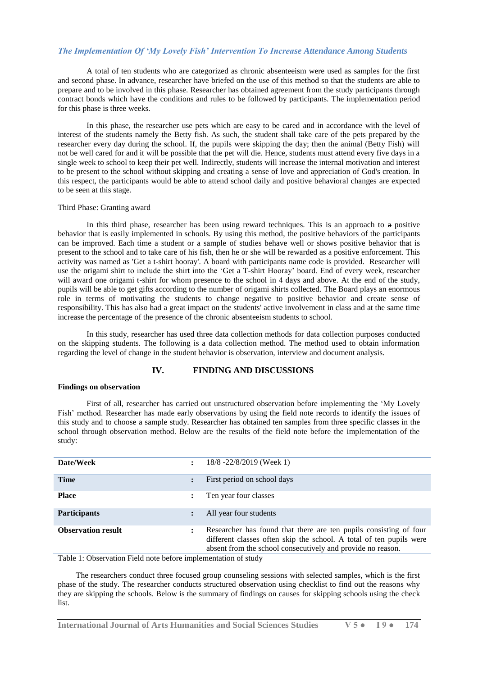A total of ten students who are categorized as chronic absenteeism were used as samples for the first and second phase. In advance, researcher have briefed on the use of this method so that the students are able to prepare and to be involved in this phase. Researcher has obtained agreement from the study participants through contract bonds which have the conditions and rules to be followed by participants. The implementation period for this phase is three weeks.

In this phase, the researcher use pets which are easy to be cared and in accordance with the level of interest of the students namely the Betty fish. As such, the student shall take care of the pets prepared by the researcher every day during the school. If, the pupils were skipping the day; then the animal (Betty Fish) will not be well cared for and it will be possible that the pet will die. Hence, students must attend every five days in a single week to school to keep their pet well. Indirectly, students will increase the internal motivation and interest to be present to the school without skipping and creating a sense of love and appreciation of God's creation. In this respect, the participants would be able to attend school daily and positive behavioral changes are expected to be seen at this stage.

## Third Phase: Granting award

In this third phase, researcher has been using reward techniques. This is an approach to a positive behavior that is easily implemented in schools. By using this method, the positive behaviors of the participants can be improved. Each time a student or a sample of studies behave well or shows positive behavior that is present to the school and to take care of his fish, then he or she will be rewarded as a positive enforcement. This activity was named as 'Get a t-shirt hooray'. A board with participants name code is provided. Researcher will use the origami shirt to include the shirt into the "Get a T-shirt Hooray" board. End of every week, researcher will award one origami t-shirt for whom presence to the school in 4 days and above. At the end of the study, pupils will be able to get gifts according to the number of origami shirts collected. The Board plays an enormous role in terms of motivating the students to change negative to positive behavior and create sense of responsibility. This has also had a great impact on the students' active involvement in class and at the same time increase the percentage of the presence of the chronic absenteeism students to school.

In this study, researcher has used three data collection methods for data collection purposes conducted on the skipping students. The following is a data collection method. The method used to obtain information regarding the level of change in the student behavior is observation, interview and document analysis.

## **IV. FINDING AND DISCUSSIONS**

#### **Findings on observation**

First of all, researcher has carried out unstructured observation before implementing the "My Lovely Fish" method. Researcher has made early observations by using the field note records to identify the issues of this study and to choose a sample study. Researcher has obtained ten samples from three specific classes in the school through observation method. Below are the results of the field note before the implementation of the study:

| Date/Week                 | 18/8 -22/8/2019 (Week 1)                                                                                                                                                                                |
|---------------------------|---------------------------------------------------------------------------------------------------------------------------------------------------------------------------------------------------------|
| <b>Time</b>               | First period on school days                                                                                                                                                                             |
| <b>Place</b>              | Ten year four classes                                                                                                                                                                                   |
| <b>Participants</b>       | All year four students                                                                                                                                                                                  |
| <b>Observation result</b> | Researcher has found that there are ten pupils consisting of four<br>different classes often skip the school. A total of ten pupils were<br>absent from the school consecutively and provide no reason. |

Table 1: Observation Field note before implementation of study

 The researchers conduct three focused group counseling sessions with selected samples, which is the first phase of the study. The researcher conducts structured observation using checklist to find out the reasons why they are skipping the schools. Below is the summary of findings on causes for skipping schools using the check list.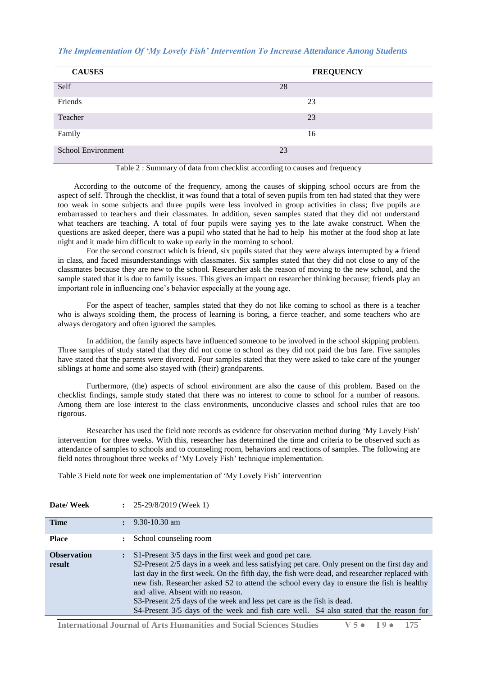| <b>CAUSES</b>      | <b>FREQUENCY</b> |
|--------------------|------------------|
| Self               | 28               |
| Friends            | 23               |
| Teacher            | 23               |
| Family             | 16               |
| School Environment | 23               |

## Table 2 : Summary of data from checklist according to causes and frequency

 According to the outcome of the frequency, among the causes of skipping school occurs are from the aspect of self. Through the checklist, it was found that a total of seven pupils from ten had stated that they were too weak in some subjects and three pupils were less involved in group activities in class; five pupils are embarrassed to teachers and their classmates. In addition, seven samples stated that they did not understand what teachers are teaching. A total of four pupils were saying yes to the late awake construct. When the questions are asked deeper, there was a pupil who stated that he had to help his mother at the food shop at late night and it made him difficult to wake up early in the morning to school.

For the second construct which is friend, six pupils stated that they were always interrupted by a friend in class, and faced misunderstandings with classmates. Six samples stated that they did not close to any of the classmates because they are new to the school. Researcher ask the reason of moving to the new school, and the sample stated that it is due to family issues. This gives an impact on researcher thinking because; friends play an important role in influencing one"s behavior especially at the young age.

For the aspect of teacher, samples stated that they do not like coming to school as there is a teacher who is always scolding them, the process of learning is boring, a fierce teacher, and some teachers who are always derogatory and often ignored the samples.

In addition, the family aspects have influenced someone to be involved in the school skipping problem. Three samples of study stated that they did not come to school as they did not paid the bus fare. Five samples have stated that the parents were divorced. Four samples stated that they were asked to take care of the younger siblings at home and some also stayed with (their) grandparents.

Furthermore, (the) aspects of school environment are also the cause of this problem. Based on the checklist findings, sample study stated that there was no interest to come to school for a number of reasons. Among them are lose interest to the class environments, unconducive classes and school rules that are too rigorous.

Researcher has used the field note records as evidence for observation method during "My Lovely Fish" intervention for three weeks. With this, researcher has determined the time and criteria to be observed such as attendance of samples to schools and to counseling room, behaviors and reactions of samples. The following are field notes throughout three weeks of 'My Lovely Fish' technique implementation.

Table 3 Field note for week one implementation of 'My Lovely Fish' intervention

| Date/Week                    | $\div$ 25-29/8/2019 (Week 1)                                                                                                                                                                                                                                                                                                                                                                                                                                                                                                                                       |
|------------------------------|--------------------------------------------------------------------------------------------------------------------------------------------------------------------------------------------------------------------------------------------------------------------------------------------------------------------------------------------------------------------------------------------------------------------------------------------------------------------------------------------------------------------------------------------------------------------|
| <b>Time</b>                  | $9.30 - 10.30$ am                                                                                                                                                                                                                                                                                                                                                                                                                                                                                                                                                  |
| <b>Place</b>                 | School counseling room                                                                                                                                                                                                                                                                                                                                                                                                                                                                                                                                             |
| <b>Observation</b><br>result | S1-Present 3/5 days in the first week and good pet care.<br>S2-Present 2/5 days in a week and less satisfying pet care. Only present on the first day and<br>last day in the first week. On the fifth day, the fish were dead, and researcher replaced with<br>new fish. Researcher asked S2 to attend the school every day to ensure the fish is healthy<br>and alive. Absent with no reason.<br>S3-Present 2/5 days of the week and less pet care as the fish is dead.<br>S4-Present 3/5 days of the week and fish care well. S4 also stated that the reason for |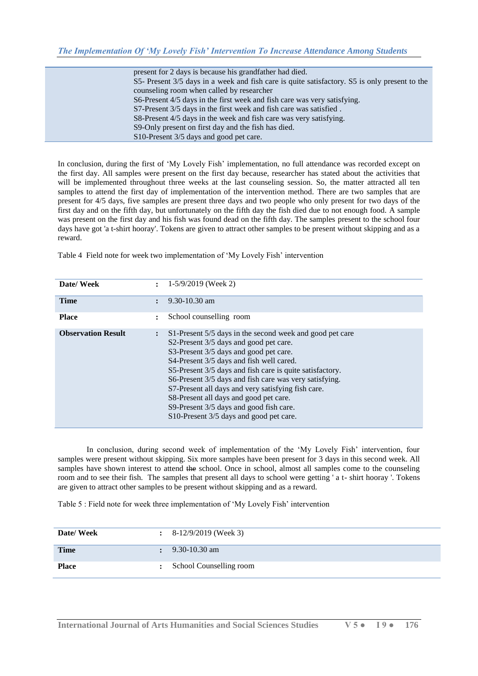| present for 2 days is because his grandfather had died.                                       |
|-----------------------------------------------------------------------------------------------|
| S5- Present 3/5 days in a week and fish care is quite satisfactory. S5 is only present to the |
| counseling room when called by researcher                                                     |
| S6-Present 4/5 days in the first week and fish care was very satisfying.                      |
| S7-Present 3/5 days in the first week and fish care was satisfied.                            |
| S8-Present 4/5 days in the week and fish care was very satisfying.                            |
| S9-Only present on first day and the fish has died.                                           |
| S10-Present 3/5 days and good pet care.                                                       |

In conclusion, during the first of "My Lovely Fish" implementation, no full attendance was recorded except on the first day. All samples were present on the first day because, researcher has stated about the activities that will be implemented throughout three weeks at the last counseling session. So, the matter attracted all ten samples to attend the first day of implementation of the intervention method. There are two samples that are present for 4/5 days, five samples are present three days and two people who only present for two days of the first day and on the fifth day, but unfortunately on the fifth day the fish died due to not enough food. A sample was present on the first day and his fish was found dead on the fifth day. The samples present to the school four days have got 'a t-shirt hooray'. Tokens are given to attract other samples to be present without skipping and as a reward.

Table 4 Field note for week two implementation of "My Lovely Fish" intervention

| Date/Week                 |                      | $\div$ 1-5/9/2019 (Week 2)                                                                                                                                                                                                                                                                                                                                                                                                                                                                           |
|---------------------------|----------------------|------------------------------------------------------------------------------------------------------------------------------------------------------------------------------------------------------------------------------------------------------------------------------------------------------------------------------------------------------------------------------------------------------------------------------------------------------------------------------------------------------|
| <b>Time</b>               |                      | $9.30 - 10.30$ am                                                                                                                                                                                                                                                                                                                                                                                                                                                                                    |
| <b>Place</b>              | $\ddot{\phantom{a}}$ | School counselling room                                                                                                                                                                                                                                                                                                                                                                                                                                                                              |
| <b>Observation Result</b> |                      | S1-Present 5/5 days in the second week and good pet care<br>S2-Present 3/5 days and good pet care.<br>S3-Present 3/5 days and good pet care.<br>S4-Present 3/5 days and fish well cared.<br>S5-Present 3/5 days and fish care is quite satisfactory.<br>S6-Present 3/5 days and fish care was very satisfying.<br>S7-Present all days and very satisfying fish care.<br>S8-Present all days and good pet care.<br>S9-Present 3/5 days and good fish care.<br>S10-Present 3/5 days and good pet care. |

In conclusion, during second week of implementation of the 'My Lovely Fish' intervention, four samples were present without skipping. Six more samples have been present for 3 days in this second week. All samples have shown interest to attend the school. Once in school, almost all samples come to the counseling room and to see their fish. The samples that present all days to school were getting ' a t- shirt hooray '. Tokens are given to attract other samples to be present without skipping and as a reward.

Table 5 : Field note for week three implementation of "My Lovely Fish" intervention

| Date/Week    | 8-12/9/2019 (Week 3)    |
|--------------|-------------------------|
| <b>Time</b>  | $9.30 - 10.30$ am       |
| <b>Place</b> | School Counselling room |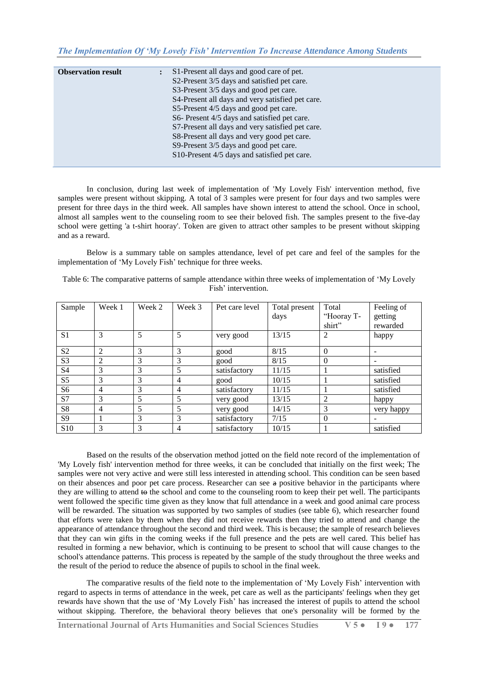| <b>Observation result</b> | $\ddot{\cdot}$ | S1-Present all days and good care of pet.<br>S2-Present 3/5 days and satisfied pet care.<br>S3-Present 3/5 days and good pet care.<br>S4-Present all days and very satisfied pet care.<br>S5-Present 4/5 days and good pet care.<br>S6- Present 4/5 days and satisfied pet care.<br>S7-Present all days and very satisfied pet care.<br>S8-Present all days and very good pet care. |
|---------------------------|----------------|-------------------------------------------------------------------------------------------------------------------------------------------------------------------------------------------------------------------------------------------------------------------------------------------------------------------------------------------------------------------------------------|
|                           |                | S9-Present 3/5 days and good pet care.<br>S10-Present 4/5 days and satisfied pet care.                                                                                                                                                                                                                                                                                              |
|                           |                |                                                                                                                                                                                                                                                                                                                                                                                     |

In conclusion, during last week of implementation of 'My Lovely Fish' intervention method, five samples were present without skipping. A total of 3 samples were present for four days and two samples were present for three days in the third week. All samples have shown interest to attend the school. Once in school, almost all samples went to the counseling room to see their beloved fish. The samples present to the five-day school were getting 'a t-shirt hooray'. Token are given to attract other samples to be present without skipping and as a reward.

Below is a summary table on samples attendance, level of pet care and feel of the samples for the implementation of 'My Lovely Fish' technique for three weeks.

Table 6: The comparative patterns of sample attendance within three weeks of implementation of "My Lovely Fish' intervention.

| Sample          | Week 1 | Week 2 | Week 3 | Pet care level | Total present | Total      | Feeling of |
|-----------------|--------|--------|--------|----------------|---------------|------------|------------|
|                 |        |        |        |                | days          | "Hooray T- | getting    |
|                 |        |        |        |                |               | shirt"     | rewarded   |
| S <sub>1</sub>  | 3      |        | 5      | very good      | 13/15         | 2          | happy      |
| S <sub>2</sub>  | 2      | 3      | 3      | good           | 8/15          | $\Omega$   |            |
| S <sub>3</sub>  | 2      | 3      | 3      | good           | 8/15          | $\Omega$   | -          |
| S <sub>4</sub>  | 3      | 3      | 5      | satisfactory   | 11/15         |            | satisfied  |
| S <sub>5</sub>  | 3      | 3      | 4      | good           | 10/15         |            | satisfied  |
| S <sub>6</sub>  | 4      | 3      | 4      | satisfactory   | 11/15         |            | satisfied  |
| S7              | 3      | 5      | 5      | very good      | 13/15         | 2          | happy      |
| S <sub>8</sub>  | 4      | 5      | 5      | very good      | 14/15         | 3          | very happy |
| S <sub>9</sub>  |        | 3      | 3      | satisfactory   | 7/15          | $\theta$   |            |
| S <sub>10</sub> | 3      | 3      | 4      | satisfactory   | 10/15         |            | satisfied  |

Based on the results of the observation method jotted on the field note record of the implementation of 'My Lovely fish' intervention method for three weeks, it can be concluded that initially on the first week; The samples were not very active and were still less interested in attending school. This condition can be seen based on their absences and poor pet care process. Researcher can see a positive behavior in the participants where they are willing to attend to the school and come to the counseling room to keep their pet well. The participants went followed the specific time given as they know that full attendance in a week and good animal care process will be rewarded. The situation was supported by two samples of studies (see table 6), which researcher found that efforts were taken by them when they did not receive rewards then they tried to attend and change the appearance of attendance throughout the second and third week. This is because; the sample of research believes that they can win gifts in the coming weeks if the full presence and the pets are well cared. This belief has resulted in forming a new behavior, which is continuing to be present to school that will cause changes to the school's attendance patterns. This process is repeated by the sample of the study throughout the three weeks and the result of the period to reduce the absence of pupils to school in the final week.

The comparative results of the field note to the implementation of "My Lovely Fish" intervention with regard to aspects in terms of attendance in the week, pet care as well as the participants' feelings when they get rewards have shown that the use of "My Lovely Fish" has increased the interest of pupils to attend the school without skipping. Therefore, the behavioral theory believes that one's personality will be formed by the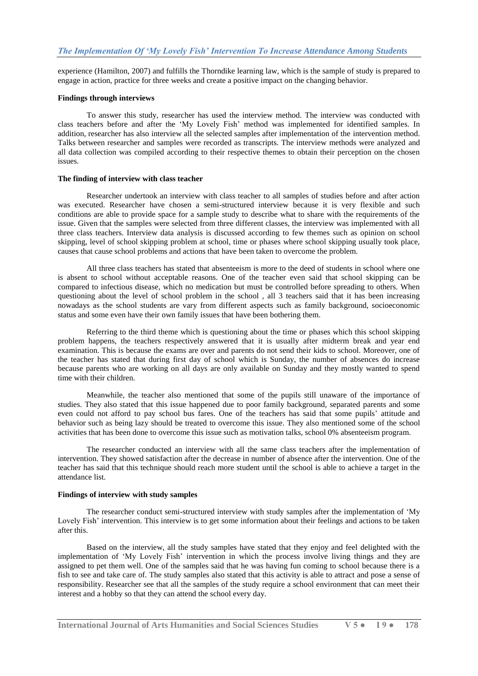experience (Hamilton, 2007) and fulfills the Thorndike learning law, which is the sample of study is prepared to engage in action, practice for three weeks and create a positive impact on the changing behavior.

#### **Findings through interviews**

To answer this study, researcher has used the interview method. The interview was conducted with class teachers before and after the "My Lovely Fish" method was implemented for identified samples. In addition, researcher has also interview all the selected samples after implementation of the intervention method. Talks between researcher and samples were recorded as transcripts. The interview methods were analyzed and all data collection was compiled according to their respective themes to obtain their perception on the chosen issues.

#### **The finding of interview with class teacher**

Researcher undertook an interview with class teacher to all samples of studies before and after action was executed. Researcher have chosen a semi-structured interview because it is very flexible and such conditions are able to provide space for a sample study to describe what to share with the requirements of the issue. Given that the samples were selected from three different classes, the interview was implemented with all three class teachers. Interview data analysis is discussed according to few themes such as opinion on school skipping, level of school skipping problem at school, time or phases where school skipping usually took place, causes that cause school problems and actions that have been taken to overcome the problem.

All three class teachers has stated that absenteeism is more to the deed of students in school where one is absent to school without acceptable reasons. One of the teacher even said that school skipping can be compared to infectious disease, which no medication but must be controlled before spreading to others. When questioning about the level of school problem in the school , all 3 teachers said that it has been increasing nowadays as the school students are vary from different aspects such as family background, socioeconomic status and some even have their own family issues that have been bothering them.

Referring to the third theme which is questioning about the time or phases which this school skipping problem happens, the teachers respectively answered that it is usually after midterm break and year end examination. This is because the exams are over and parents do not send their kids to school. Moreover, one of the teacher has stated that during first day of school which is Sunday, the number of absences do increase because parents who are working on all days are only available on Sunday and they mostly wanted to spend time with their children.

Meanwhile, the teacher also mentioned that some of the pupils still unaware of the importance of studies. They also stated that this issue happened due to poor family background, separated parents and some even could not afford to pay school bus fares. One of the teachers has said that some pupils' attitude and behavior such as being lazy should be treated to overcome this issue. They also mentioned some of the school activities that has been done to overcome this issue such as motivation talks, school 0% absenteeism program.

The researcher conducted an interview with all the same class teachers after the implementation of intervention. They showed satisfaction after the decrease in number of absence after the intervention. One of the teacher has said that this technique should reach more student until the school is able to achieve a target in the attendance list.

#### **Findings of interview with study samples**

The researcher conduct semi-structured interview with study samples after the implementation of "My Lovely Fish' intervention. This interview is to get some information about their feelings and actions to be taken after this.

Based on the interview, all the study samples have stated that they enjoy and feel delighted with the implementation of "My Lovely Fish" intervention in which the process involve living things and they are assigned to pet them well. One of the samples said that he was having fun coming to school because there is a fish to see and take care of. The study samples also stated that this activity is able to attract and pose a sense of responsibility. Researcher see that all the samples of the study require a school environment that can meet their interest and a hobby so that they can attend the school every day.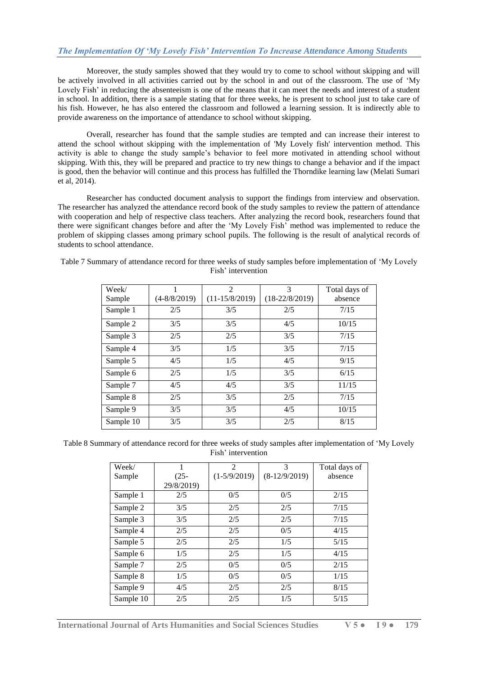Moreover, the study samples showed that they would try to come to school without skipping and will be actively involved in all activities carried out by the school in and out of the classroom. The use of "My Lovely Fish' in reducing the absenteeism is one of the means that it can meet the needs and interest of a student in school. In addition, there is a sample stating that for three weeks, he is present to school just to take care of his fish. However, he has also entered the classroom and followed a learning session. It is indirectly able to provide awareness on the importance of attendance to school without skipping.

Overall, researcher has found that the sample studies are tempted and can increase their interest to attend the school without skipping with the implementation of 'My Lovely fish' intervention method. This activity is able to change the study sample"s behavior to feel more motivated in attending school without skipping. With this, they will be prepared and practice to try new things to change a behavior and if the impact is good, then the behavior will continue and this process has fulfilled the Thorndike learning law (Melati Sumari et al, 2014).

Researcher has conducted document analysis to support the findings from interview and observation. The researcher has analyzed the attendance record book of the study samples to review the pattern of attendance with cooperation and help of respective class teachers. After analyzing the record book, researchers found that there were significant changes before and after the "My Lovely Fish" method was implemented to reduce the problem of skipping classes among primary school pupils. The following is the result of analytical records of students to school attendance.

| Week/<br>Sample | $(4 - 8/8/2019)$ | $\mathfrak{D}$<br>$(11-15/8/2019)$ | 3<br>$(18-22/8/2019)$ | Total days of<br>absence |
|-----------------|------------------|------------------------------------|-----------------------|--------------------------|
| Sample 1        | 2/5              | 3/5                                | 2/5                   | 7/15                     |
| Sample 2        | 3/5              | 3/5                                | 4/5                   | 10/15                    |
| Sample 3        | 2/5              | 2/5                                | 3/5                   | 7/15                     |
| Sample 4        | 3/5              | 1/5                                | 3/5                   | 7/15                     |
| Sample 5        | 4/5              | 1/5                                | 4/5                   | 9/15                     |
| Sample 6        | 2/5              | 1/5                                | 3/5                   | 6/15                     |
| Sample 7        | 4/5              | 4/5                                | 3/5                   | 11/15                    |
| Sample 8        | 2/5              | 3/5                                | 2/5                   | 7/15                     |
| Sample 9        | 3/5              | 3/5                                | 4/5                   | 10/15                    |
| Sample 10       | 3/5              | 3/5                                | 2/5                   | 8/15                     |

Table 7 Summary of attendance record for three weeks of study samples before implementation of "My Lovely Fish' intervention

Table 8 Summary of attendance record for three weeks of study samples after implementation of "My Lovely Fish' intervention

| Week/     |            | $\overline{2}$ | 3               | Total days of |
|-----------|------------|----------------|-----------------|---------------|
| Sample    | $(25 -$    | $(1-5/9/2019)$ | $(8-12/9/2019)$ | absence       |
|           | 29/8/2019) |                |                 |               |
| Sample 1  | 2/5        | 0/5            | 0/5             | 2/15          |
| Sample 2  | 3/5        | 2/5            | 2/5             | 7/15          |
| Sample 3  | 3/5        | 2/5            | 2/5             | 7/15          |
| Sample 4  | 2/5        | 2/5            | 0/5             | 4/15          |
| Sample 5  | 2/5        | 2/5            | 1/5             | 5/15          |
| Sample 6  | 1/5        | 2/5            | 1/5             | 4/15          |
| Sample 7  | 2/5        | 0/5            | 0/5             | 2/15          |
| Sample 8  | 1/5        | 0/5            | 0/5             | 1/15          |
| Sample 9  | 4/5        | 2/5            | 2/5             | 8/15          |
| Sample 10 | 2/5        | 2/5            | 1/5             | 5/15          |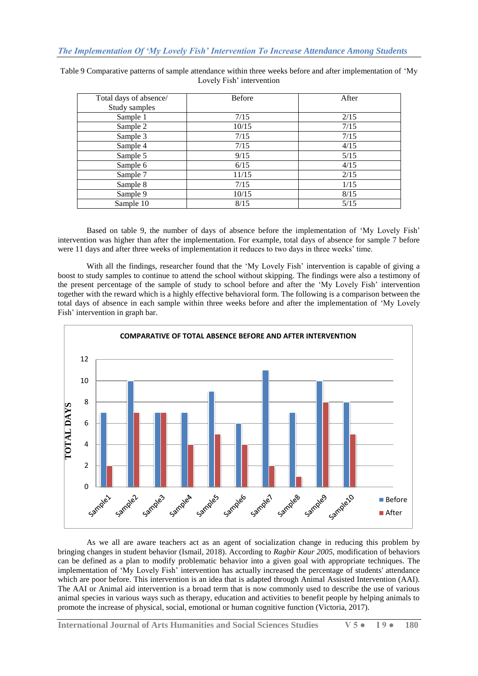| Total days of absence/ | <b>Before</b> | After |
|------------------------|---------------|-------|
| Study samples          |               |       |
| Sample 1               | 7/15          | 2/15  |
| Sample 2               | 10/15         | 7/15  |
| Sample 3               | 7/15          | 7/15  |
| Sample 4               | 7/15          | 4/15  |
| Sample 5               | 9/15          | 5/15  |
| Sample 6               | 6/15          | 4/15  |
| Sample 7               | 11/15         | 2/15  |
| Sample 8               | 7/15          | 1/15  |
| Sample 9               | 10/15         | 8/15  |
| Sample 10              | 8/15          | 5/15  |

Table 9 Comparative patterns of sample attendance within three weeks before and after implementation of "My Lovely Fish' intervention

Based on table 9, the number of days of absence before the implementation of "My Lovely Fish" intervention was higher than after the implementation. For example, total days of absence for sample 7 before were 11 days and after three weeks of implementation it reduces to two days in three weeks' time.

With all the findings, researcher found that the 'My Lovely Fish' intervention is capable of giving a boost to study samples to continue to attend the school without skipping. The findings were also a testimony of the present percentage of the sample of study to school before and after the 'My Lovely Fish' intervention together with the reward which is a highly effective behavioral form. The following is a comparison between the total days of absence in each sample within three weeks before and after the implementation of "My Lovely Fish' intervention in graph bar.



As we all are aware teachers act as an agent of socialization change in reducing this problem by bringing changes in student behavior (Ismail, 2018). According to *Ragbir Kaur 2005*, modification of behaviors can be defined as a plan to modify problematic behavior into a given goal with appropriate techniques. The implementation of "My Lovely Fish" intervention has actually increased the percentage of students' attendance which are poor before. This intervention is an idea that is adapted through Animal Assisted Intervention (AAI). The AAI or Animal aid intervention is a broad term that is now commonly used to describe the use of various animal species in various ways such as therapy, education and activities to benefit people by helping animals to promote the increase of physical, social, emotional or human cognitive function (Victoria, 2017).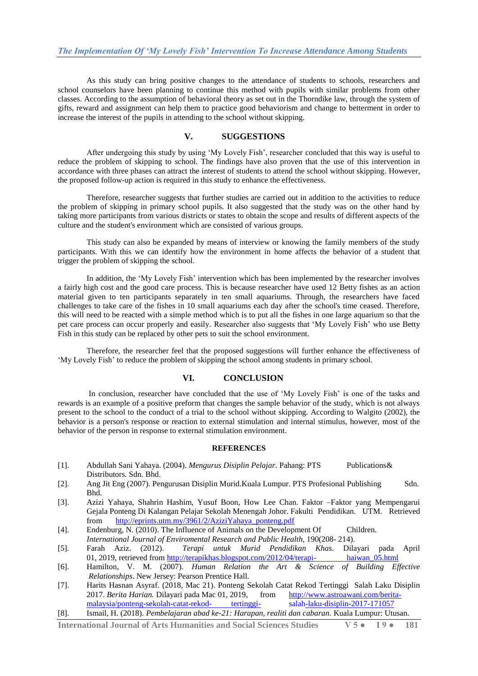As this study can bring positive changes to the attendance of students to schools, researchers and school counselors have been planning to continue this method with pupils with similar problems from other classes. According to the assumption of behavioral theory as set out in the Thorndike law, through the system of gifts, reward and assignment can help them to practice good behaviorism and change to betterment in order to increase the interest of the pupils in attending to the school without skipping.

## **V. SUGGESTIONS**

After undergoing this study by using "My Lovely Fish", researcher concluded that this way is useful to reduce the problem of skipping to school. The findings have also proven that the use of this intervention in accordance with three phases can attract the interest of students to attend the school without skipping. However, the proposed follow-up action is required in this study to enhance the effectiveness.

Therefore, researcher suggests that further studies are carried out in addition to the activities to reduce the problem of skipping in primary school pupils. It also suggested that the study was on the other hand by taking more participants from various districts or states to obtain the scope and results of different aspects of the culture and the student's environment which are consisted of various groups.

This study can also be expanded by means of interview or knowing the family members of the study participants. With this we can identify how the environment in home affects the behavior of a student that trigger the problem of skipping the school.

In addition, the "My Lovely Fish" intervention which has been implemented by the researcher involves a fairly high cost and the good care process. This is because researcher have used 12 Betty fishes as an action material given to ten participants separately in ten small aquariums. Through, the researchers have faced challenges to take care of the fishes in 10 small aquariums each day after the school's time ceased. Therefore, this will need to be reacted with a simple method which is to put all the fishes in one large aquarium so that the pet care process can occur properly and easily. Researcher also suggests that "My Lovely Fish" who use Betty Fish in this study can be replaced by other pets to suit the school environment.

Therefore, the researcher feel that the proposed suggestions will further enhance the effectiveness of "My Lovely Fish" to reduce the problem of skipping the school among students in primary school.

## **VI. CONCLUSION**

In conclusion, researcher have concluded that the use of "My Lovely Fish" is one of the tasks and rewards is an example of a positive preform that changes the sample behavior of the study, which is not always present to the school to the conduct of a trial to the school without skipping. According to Walgito (2002), the behavior is a person's response or reaction to external stimulation and internal stimulus, however, most of the behavior of the person in response to external stimulation environment.

### **REFERENCES**

- [1]. Abdullah Sani Yahaya. (2004). *Mengurus Disiplin Pelajar*. Pahang: PTS Publications& Distributors. Sdn. Bhd.
- [2]. Ang Jit Eng (2007). Pengurusan Disiplin Murid.Kuala Lumpur. PTS Profesional Publishing Sdn. Bhd.
- [3]. Azizi Yahaya, Shahrin Hashim, Yusuf Boon, How Lee Chan. Faktor –Faktor yang Mempengarui Gejala Ponteng Di Kalangan Pelajar Sekolah Menengah Johor. Fakulti Pendidikan. UTM. Retrieved from [http://eprints.utm.my/3961/2/AziziYahaya\\_ponteng.pdf](http://eprints.utm.my/3961/2/AziziYahaya_ponteng.pdf)
- [4]. Endenburg, N. (2010). The Influence of Animals on the Development Of Children. *International Journal of Enviromental Research and Public Health*, 190(208- 214).
- [5]. Farah Aziz. (2012). *Terapi untuk Murid Pendidikan Khas*. Dilayari pada April 01, 2019, retrieved from [http://terapikhas.blogspot.com/2012/04/terapi-](http://terapikhas.blogspot.com/2012/04/terapi-%20%09haiwan_05.html)
- [6]. Hamilton, V. M. (2007). *Human Relation the Art & Science of Building Effective Relationships*. New Jersey: Pearson Prentice Hall.
- [7]. Harits Hasnan Asyraf. (2018, Mac 21). Ponteng Sekolah Catat Rekod Tertinggi Salah Laku Disiplin 2017. *Berita Harian.* Dilayari pada Mac 01, 2019, from [http://www.astroawani.com/berita](http://www.astroawani.com/berita-malaysia/ponteng-sekolah-catat-rekod-%09tertinggi-%09salah-laku-disiplin-2017-171057)[malaysia/ponteng-sekolah-catat-rekod-](http://www.astroawani.com/berita-malaysia/ponteng-sekolah-catat-rekod-%09tertinggi-%09salah-laku-disiplin-2017-171057) tertinggi- salah-laku-disiplin-2017-171057
- [8]. Ismail, H. (2018). *Pembelajaran abad ke-21: Harapan, realiti dan cabaran.* Kuala Lumpur: Utusan.